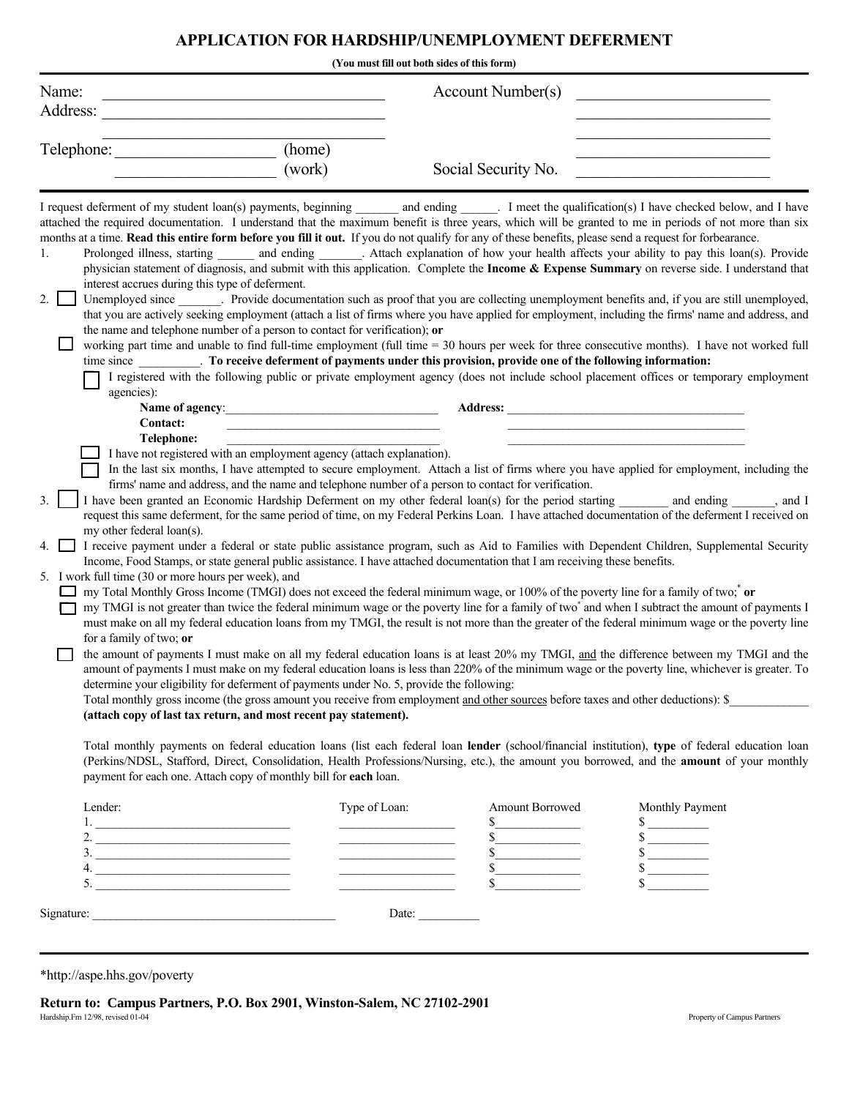## **APPLICATION FOR HARDSHIP/UNEMPLOYMENT DEFERMENT**

| Name:                                                                                                                                                                                                                                                                                                                                                                                                                                                                  |                                                                                                                                                                                                                                  | Account Number(s)                                                                                                                                                                                                                                                                                                                                                                                                                                                                                                                                                                                                                                                                                                                                                                                                                                                                                                                                                                                                                                                                                                                                                                                                                                                                                                                                                                                                                                                                                                                                                                                                                                                                                                                                                                                                                                                                                                                                                                                                                                                                                                                                                                                                                                                                                                                                                                                                                                                                                                                                                                                          |                                                                  |
|------------------------------------------------------------------------------------------------------------------------------------------------------------------------------------------------------------------------------------------------------------------------------------------------------------------------------------------------------------------------------------------------------------------------------------------------------------------------|----------------------------------------------------------------------------------------------------------------------------------------------------------------------------------------------------------------------------------|------------------------------------------------------------------------------------------------------------------------------------------------------------------------------------------------------------------------------------------------------------------------------------------------------------------------------------------------------------------------------------------------------------------------------------------------------------------------------------------------------------------------------------------------------------------------------------------------------------------------------------------------------------------------------------------------------------------------------------------------------------------------------------------------------------------------------------------------------------------------------------------------------------------------------------------------------------------------------------------------------------------------------------------------------------------------------------------------------------------------------------------------------------------------------------------------------------------------------------------------------------------------------------------------------------------------------------------------------------------------------------------------------------------------------------------------------------------------------------------------------------------------------------------------------------------------------------------------------------------------------------------------------------------------------------------------------------------------------------------------------------------------------------------------------------------------------------------------------------------------------------------------------------------------------------------------------------------------------------------------------------------------------------------------------------------------------------------------------------------------------------------------------------------------------------------------------------------------------------------------------------------------------------------------------------------------------------------------------------------------------------------------------------------------------------------------------------------------------------------------------------------------------------------------------------------------------------------------------------|------------------------------------------------------------------|
| Address:                                                                                                                                                                                                                                                                                                                                                                                                                                                               |                                                                                                                                                                                                                                  |                                                                                                                                                                                                                                                                                                                                                                                                                                                                                                                                                                                                                                                                                                                                                                                                                                                                                                                                                                                                                                                                                                                                                                                                                                                                                                                                                                                                                                                                                                                                                                                                                                                                                                                                                                                                                                                                                                                                                                                                                                                                                                                                                                                                                                                                                                                                                                                                                                                                                                                                                                                                            |                                                                  |
|                                                                                                                                                                                                                                                                                                                                                                                                                                                                        |                                                                                                                                                                                                                                  |                                                                                                                                                                                                                                                                                                                                                                                                                                                                                                                                                                                                                                                                                                                                                                                                                                                                                                                                                                                                                                                                                                                                                                                                                                                                                                                                                                                                                                                                                                                                                                                                                                                                                                                                                                                                                                                                                                                                                                                                                                                                                                                                                                                                                                                                                                                                                                                                                                                                                                                                                                                                            |                                                                  |
| Telephone:                                                                                                                                                                                                                                                                                                                                                                                                                                                             | (home)<br>(work)                                                                                                                                                                                                                 | Social Security No.                                                                                                                                                                                                                                                                                                                                                                                                                                                                                                                                                                                                                                                                                                                                                                                                                                                                                                                                                                                                                                                                                                                                                                                                                                                                                                                                                                                                                                                                                                                                                                                                                                                                                                                                                                                                                                                                                                                                                                                                                                                                                                                                                                                                                                                                                                                                                                                                                                                                                                                                                                                        |                                                                  |
|                                                                                                                                                                                                                                                                                                                                                                                                                                                                        |                                                                                                                                                                                                                                  |                                                                                                                                                                                                                                                                                                                                                                                                                                                                                                                                                                                                                                                                                                                                                                                                                                                                                                                                                                                                                                                                                                                                                                                                                                                                                                                                                                                                                                                                                                                                                                                                                                                                                                                                                                                                                                                                                                                                                                                                                                                                                                                                                                                                                                                                                                                                                                                                                                                                                                                                                                                                            |                                                                  |
| 1.<br>interest accrues during this type of deferment.<br>$\overline{2}$ .<br>agencies):<br><b>Contact:</b><br>Telephone:<br>3.<br>my other federal loan(s).<br>4.<br>5. I work full time (30 or more hours per week), and                                                                                                                                                                                                                                              | the name and telephone number of a person to contact for verification); or<br>Name of agency:<br>I have not registered with an employment agency (attach explanation).                                                           | I request deferment of my student loan(s) payments, beginning _______ and ending ______. I meet the qualification(s) I have checked below, and I have<br>attached the required documentation. I understand that the maximum benefit is three years, which will be granted to me in periods of not more than six<br>months at a time. Read this entire form before you fill it out. If you do not qualify for any of these benefits, please send a request for forbearance.<br>physician statement of diagnosis, and submit with this application. Complete the Income & Expense Summary on reverse side. I understand that<br>Unemployed since _______. Provide documentation such as proof that you are collecting unemployment benefits and, if you are still unemployed,<br>that you are actively seeking employment (attach a list of firms where you have applied for employment, including the firms' name and address, and<br>working part time and unable to find full-time employment (full time = 30 hours per week for three consecutive months). I have not worked full<br>time since To receive deferment of payments under this provision, provide one of the following information:<br>I registered with the following public or private employment agency (does not include school placement offices or temporary employment<br>In the last six months, I have attempted to secure employment. Attach a list of firms where you have applied for employment, including the<br>firms' name and address, and the name and telephone number of a person to contact for verification.<br>I have been granted an Economic Hardship Deferment on my other federal loan(s) for the period starting<br>request this same deferment, for the same period of time, on my Federal Perkins Loan. I have attached documentation of the deferment I received on<br>I receive payment under a federal or state public assistance program, such as Aid to Families with Dependent Children, Supplemental Security<br>Income, Food Stamps, or state general public assistance. I have attached documentation that I am receiving these benefits.<br>my Total Monthly Gross Income (TMGI) does not exceed the federal minimum wage, or 100% of the poverty line for a family of two; or<br>my TMGI is not greater than twice the federal minimum wage or the poverty line for a family of two <sup>*</sup> and when I subtract the amount of payments I<br>must make on all my federal education loans from my TMGI, the result is not more than the greater of the federal minimum wage or the poverty line | and ending , and I                                               |
| for a family of two; or                                                                                                                                                                                                                                                                                                                                                                                                                                                | determine your eligibility for deferment of payments under No. 5, provide the following:<br>(attach copy of last tax return, and most recent pay statement).<br>payment for each one. Attach copy of monthly bill for each loan. | the amount of payments I must make on all my federal education loans is at least 20% my TMGI, and the difference between my TMGI and the<br>amount of payments I must make on my federal education loans is less than 220% of the minimum wage or the poverty line, whichever is greater. To<br>Total monthly gross income (the gross amount you receive from employment and other sources before taxes and other deductions): \$<br>Total monthly payments on federal education loans (list each federal loan lender (school/financial institution), type of federal education loan<br>(Perkins/NDSL, Stafford, Direct, Consolidation, Health Professions/Nursing, etc.), the amount you borrowed, and the amount of your monthly                                                                                                                                                                                                                                                                                                                                                                                                                                                                                                                                                                                                                                                                                                                                                                                                                                                                                                                                                                                                                                                                                                                                                                                                                                                                                                                                                                                                                                                                                                                                                                                                                                                                                                                                                                                                                                                                         |                                                                  |
| Lender:                                                                                                                                                                                                                                                                                                                                                                                                                                                                | Type of Loan:                                                                                                                                                                                                                    | Amount Borrowed                                                                                                                                                                                                                                                                                                                                                                                                                                                                                                                                                                                                                                                                                                                                                                                                                                                                                                                                                                                                                                                                                                                                                                                                                                                                                                                                                                                                                                                                                                                                                                                                                                                                                                                                                                                                                                                                                                                                                                                                                                                                                                                                                                                                                                                                                                                                                                                                                                                                                                                                                                                            | Monthly Payment                                                  |
| $1.$ $\overline{\phantom{a}}$ $\overline{\phantom{a}}$ $\overline{\phantom{a}}$ $\overline{\phantom{a}}$ $\overline{\phantom{a}}$ $\overline{\phantom{a}}$ $\overline{\phantom{a}}$ $\overline{\phantom{a}}$ $\overline{\phantom{a}}$ $\overline{\phantom{a}}$ $\overline{\phantom{a}}$ $\overline{\phantom{a}}$ $\overline{\phantom{a}}$ $\overline{\phantom{a}}$ $\overline{\phantom{a}}$ $\overline{\phantom{a}}$ $\overline{\phantom{a}}$ $\overline{\phantom{a}}$ |                                                                                                                                                                                                                                  |                                                                                                                                                                                                                                                                                                                                                                                                                                                                                                                                                                                                                                                                                                                                                                                                                                                                                                                                                                                                                                                                                                                                                                                                                                                                                                                                                                                                                                                                                                                                                                                                                                                                                                                                                                                                                                                                                                                                                                                                                                                                                                                                                                                                                                                                                                                                                                                                                                                                                                                                                                                                            |                                                                  |
| 2.                                                                                                                                                                                                                                                                                                                                                                                                                                                                     |                                                                                                                                                                                                                                  | s                                                                                                                                                                                                                                                                                                                                                                                                                                                                                                                                                                                                                                                                                                                                                                                                                                                                                                                                                                                                                                                                                                                                                                                                                                                                                                                                                                                                                                                                                                                                                                                                                                                                                                                                                                                                                                                                                                                                                                                                                                                                                                                                                                                                                                                                                                                                                                                                                                                                                                                                                                                                          |                                                                  |
| 3.<br>$4. \_$                                                                                                                                                                                                                                                                                                                                                                                                                                                          |                                                                                                                                                                                                                                  | s<br>s                                                                                                                                                                                                                                                                                                                                                                                                                                                                                                                                                                                                                                                                                                                                                                                                                                                                                                                                                                                                                                                                                                                                                                                                                                                                                                                                                                                                                                                                                                                                                                                                                                                                                                                                                                                                                                                                                                                                                                                                                                                                                                                                                                                                                                                                                                                                                                                                                                                                                                                                                                                                     | $\begin{array}{c}\n 8 \\ \hline\n 8 \\ \hline\n 9\n \end{array}$ |

\*http://aspe.hhs.gov/poverty